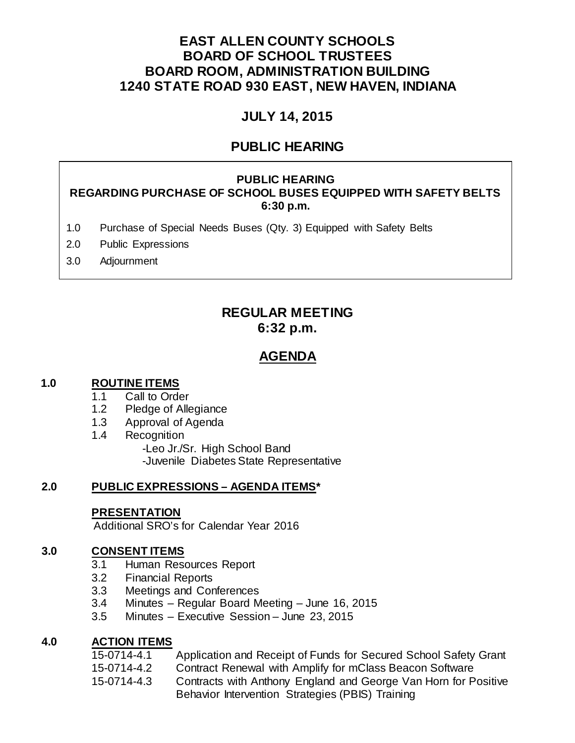# **EAST ALLEN COUNTY SCHOOLS BOARD OF SCHOOL TRUSTEES BOARD ROOM, ADMINISTRATION BUILDING 1240 STATE ROAD 930 EAST, NEW HAVEN, INDIANA**

# **JULY 14, 2015**

# **PUBLIC HEARING**

#### **PUBLIC HEARING REGARDING PURCHASE OF SCHOOL BUSES EQUIPPED WITH SAFETY BELTS 6:30 p.m.**

- 1.0 Purchase of Special Needs Buses (Qty. 3) Equipped with Safety Belts
- 2.0 Public Expressions
- 3.0 Adjournment

# **REGULAR MEETING 6:32 p.m.**

# **AGENDA**

#### **1.0 ROUTINE ITEMS**

- 1.1 Call to Order<br>1.2 Pledge of Alle
- Pledge of Allegiance
- 1.3 Approval of Agenda
- 1.4 Recognition

-Leo Jr./Sr. High School Band -Juvenile Diabetes State Representative

# **2.0 PUBLIC EXPRESSIONS – AGENDA ITEMS\***

# **PRESENTATION**

Additional SRO's for Calendar Year 2016

# **3.0 CONSENT ITEMS**

- 3.1 Human Resources Report
- 3.2 Financial Reports
- 3.3 Meetings and Conferences
- 3.4 Minutes Regular Board Meeting June 16, 2015
- 3.5 Minutes Executive Session June 23, 2015

# **4.0 ACTION ITEMS**

- 15-0714-4.1 Application and Receipt of Funds for Secured School Safety Grant
- 15-0714-4.2 Contract Renewal with Amplify for mClass Beacon Software
- 15-0714-4.3 Contracts with Anthony England and George Van Horn for Positive Behavior Intervention Strategies (PBIS) Training